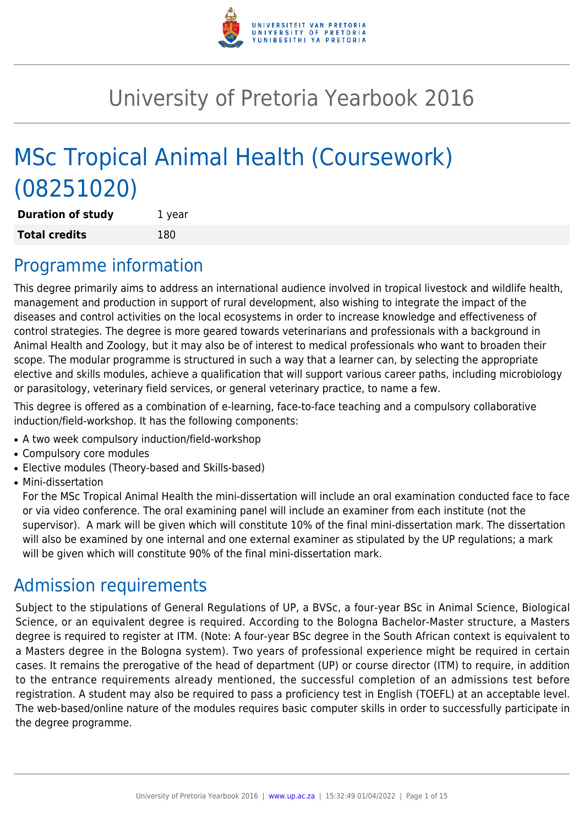

# University of Pretoria Yearbook 2016

# MSc Tropical Animal Health (Coursework) (08251020)

| <b>Duration of study</b> | 1 year |
|--------------------------|--------|
| <b>Total credits</b>     | 180    |

# Programme information

This degree primarily aims to address an international audience involved in tropical livestock and wildlife health, management and production in support of rural development, also wishing to integrate the impact of the diseases and control activities on the local ecosystems in order to increase knowledge and effectiveness of control strategies. The degree is more geared towards veterinarians and professionals with a background in Animal Health and Zoology, but it may also be of interest to medical professionals who want to broaden their scope. The modular programme is structured in such a way that a learner can, by selecting the appropriate elective and skills modules, achieve a qualification that will support various career paths, including microbiology or parasitology, veterinary field services, or general veterinary practice, to name a few.

This degree is offered as a combination of e-learning, face-to-face teaching and a compulsory collaborative induction/field-workshop. It has the following components:

- A two week compulsory induction/field-workshop
- Compulsory core modules
- Elective modules (Theory-based and Skills-based)
- Mini-dissertation

For the MSc Tropical Animal Health the mini-dissertation will include an oral examination conducted face to face or via video conference. The oral examining panel will include an examiner from each institute (not the supervisor). A mark will be given which will constitute 10% of the final mini-dissertation mark. The dissertation will also be examined by one internal and one external examiner as stipulated by the UP regulations; a mark will be given which will constitute 90% of the final mini-dissertation mark.

# Admission requirements

Subject to the stipulations of General Regulations of UP, a BVSc, a four-year BSc in Animal Science, Biological Science, or an equivalent degree is required. According to the Bologna Bachelor-Master structure, a Masters degree is required to register at ITM. (Note: A four-year BSc degree in the South African context is equivalent to a Masters degree in the Bologna system). Two years of professional experience might be required in certain cases. It remains the prerogative of the head of department (UP) or course director (ITM) to require, in addition to the entrance requirements already mentioned, the successful completion of an admissions test before registration. A student may also be required to pass a proficiency test in English (TOEFL) at an acceptable level. The web-based/online nature of the modules requires basic computer skills in order to successfully participate in the degree programme.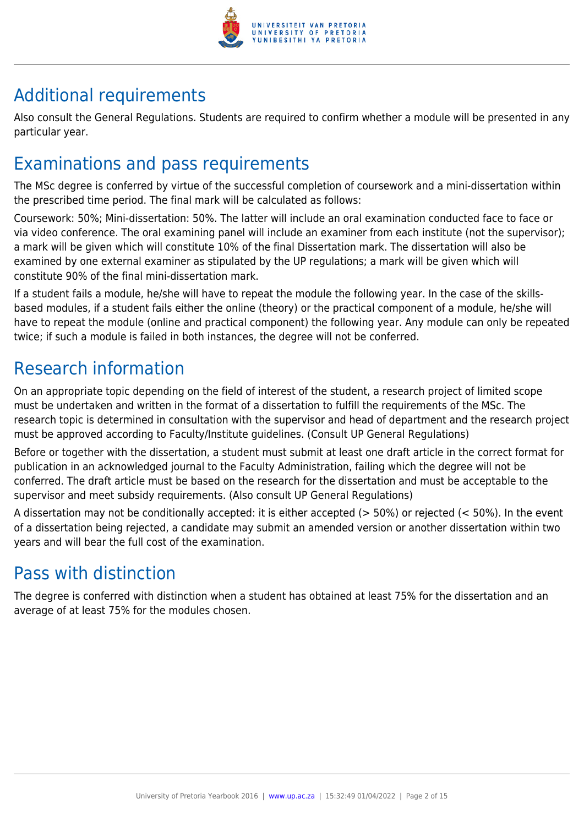

# Additional requirements

Also consult the General Regulations. Students are required to confirm whether a module will be presented in any particular year.

# Examinations and pass requirements

The MSc degree is conferred by virtue of the successful completion of coursework and a mini-dissertation within the prescribed time period. The final mark will be calculated as follows:

Coursework: 50%; Mini-dissertation: 50%. The latter will include an oral examination conducted face to face or via video conference. The oral examining panel will include an examiner from each institute (not the supervisor); a mark will be given which will constitute 10% of the final Dissertation mark. The dissertation will also be examined by one external examiner as stipulated by the UP regulations; a mark will be given which will constitute 90% of the final mini-dissertation mark.

If a student fails a module, he/she will have to repeat the module the following year. In the case of the skillsbased modules, if a student fails either the online (theory) or the practical component of a module, he/she will have to repeat the module (online and practical component) the following year. Any module can only be repeated twice; if such a module is failed in both instances, the degree will not be conferred.

# Research information

On an appropriate topic depending on the field of interest of the student, a research project of limited scope must be undertaken and written in the format of a dissertation to fulfill the requirements of the MSc. The research topic is determined in consultation with the supervisor and head of department and the research project must be approved according to Faculty/Institute guidelines. (Consult UP General Regulations)

Before or together with the dissertation, a student must submit at least one draft article in the correct format for publication in an acknowledged journal to the Faculty Administration, failing which the degree will not be conferred. The draft article must be based on the research for the dissertation and must be acceptable to the supervisor and meet subsidy requirements. (Also consult UP General Regulations)

A dissertation may not be conditionally accepted: it is either accepted ( $>$  50%) or rejected ( $<$  50%). In the event of a dissertation being rejected, a candidate may submit an amended version or another dissertation within two years and will bear the full cost of the examination.

# Pass with distinction

The degree is conferred with distinction when a student has obtained at least 75% for the dissertation and an average of at least 75% for the modules chosen.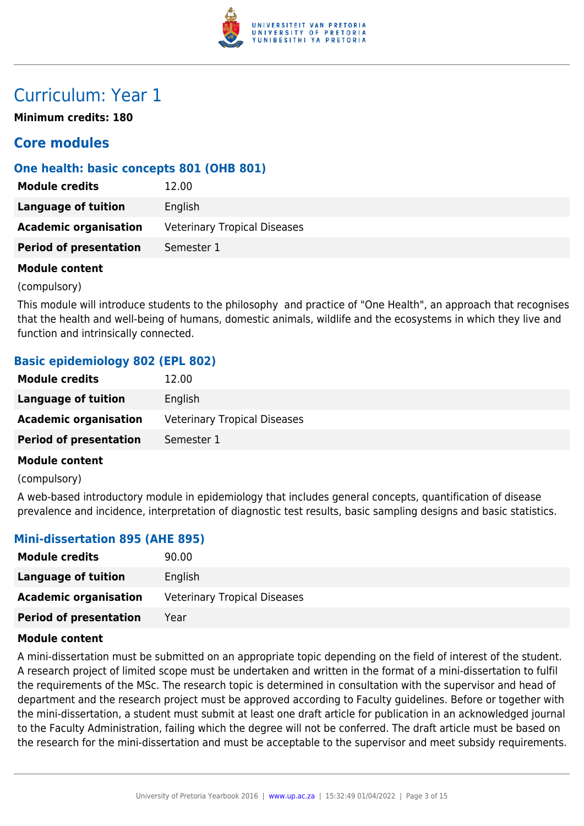

# Curriculum: Year 1

**Minimum credits: 180**

# **Core modules**

### **One health: basic concepts 801 (OHB 801)**

| <b>Module credits</b>         | 12.00                               |
|-------------------------------|-------------------------------------|
| Language of tuition           | English                             |
| <b>Academic organisation</b>  | <b>Veterinary Tropical Diseases</b> |
| <b>Period of presentation</b> | Semester 1                          |

### **Module content**

(compulsory)

This module will introduce students to the philosophy and practice of "One Health", an approach that recognises that the health and well-being of humans, domestic animals, wildlife and the ecosystems in which they live and function and intrinsically connected.

# **Basic epidemiology 802 (EPL 802)**

| <b>Module credits</b>         | 12.00                               |
|-------------------------------|-------------------------------------|
| Language of tuition           | English                             |
| <b>Academic organisation</b>  | <b>Veterinary Tropical Diseases</b> |
| <b>Period of presentation</b> | Semester 1                          |
|                               |                                     |

### **Module content**

(compulsory)

A web-based introductory module in epidemiology that includes general concepts, quantification of disease prevalence and incidence, interpretation of diagnostic test results, basic sampling designs and basic statistics.

### **Mini-dissertation 895 (AHE 895)**

| <b>Module credits</b>         | 90.00                               |
|-------------------------------|-------------------------------------|
| Language of tuition           | English                             |
| <b>Academic organisation</b>  | <b>Veterinary Tropical Diseases</b> |
| <b>Period of presentation</b> | Year                                |

### **Module content**

A mini-dissertation must be submitted on an appropriate topic depending on the field of interest of the student. A research project of limited scope must be undertaken and written in the format of a mini-dissertation to fulfil the requirements of the MSc. The research topic is determined in consultation with the supervisor and head of department and the research project must be approved according to Faculty guidelines. Before or together with the mini-dissertation, a student must submit at least one draft article for publication in an acknowledged journal to the Faculty Administration, failing which the degree will not be conferred. The draft article must be based on the research for the mini-dissertation and must be acceptable to the supervisor and meet subsidy requirements.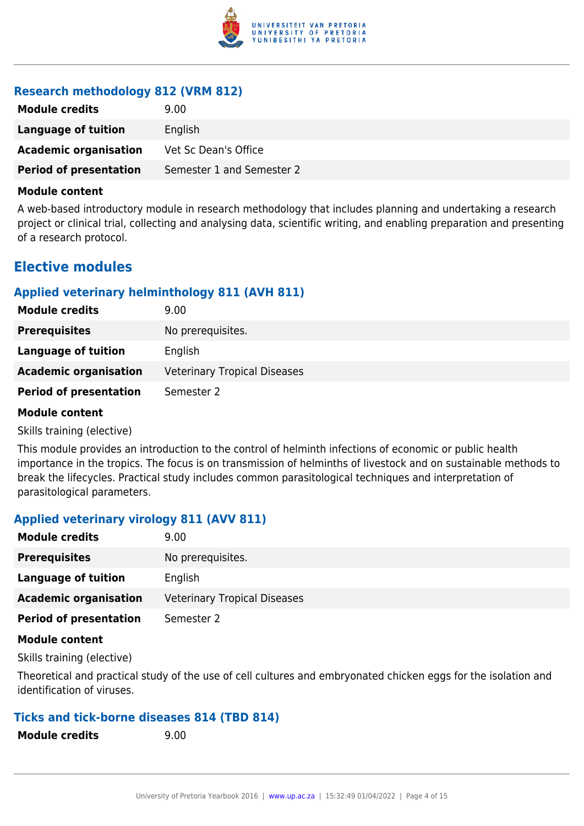

### **Research methodology 812 (VRM 812)**

| <b>Module credits</b>         | 9.00                      |
|-------------------------------|---------------------------|
| Language of tuition           | English                   |
| <b>Academic organisation</b>  | Vet Sc Dean's Office      |
| <b>Period of presentation</b> | Semester 1 and Semester 2 |

#### **Module content**

A web-based introductory module in research methodology that includes planning and undertaking a research project or clinical trial, collecting and analysing data, scientific writing, and enabling preparation and presenting of a research protocol.

# **Elective modules**

### **Applied veterinary helminthology 811 (AVH 811)**

| <b>Module credits</b>         | 9.00                                |
|-------------------------------|-------------------------------------|
| <b>Prerequisites</b>          | No prerequisites.                   |
| Language of tuition           | English                             |
| <b>Academic organisation</b>  | <b>Veterinary Tropical Diseases</b> |
| <b>Period of presentation</b> | Semester 2                          |

#### **Module content**

Skills training (elective)

This module provides an introduction to the control of helminth infections of economic or public health importance in the tropics. The focus is on transmission of helminths of livestock and on sustainable methods to break the lifecycles. Practical study includes common parasitological techniques and interpretation of parasitological parameters.

### **Applied veterinary virology 811 (AVV 811)**

| <b>Module credits</b>         | 9.00                                |
|-------------------------------|-------------------------------------|
| <b>Prerequisites</b>          | No prerequisites.                   |
| Language of tuition           | English                             |
| <b>Academic organisation</b>  | <b>Veterinary Tropical Diseases</b> |
| <b>Period of presentation</b> | Semester 2                          |
|                               |                                     |

### **Module content**

Skills training (elective)

Theoretical and practical study of the use of cell cultures and embryonated chicken eggs for the isolation and identification of viruses.

### **Ticks and tick-borne diseases 814 (TBD 814)**

**Module credits** 9.00

| <b>Module credits</b> |  |
|-----------------------|--|
|-----------------------|--|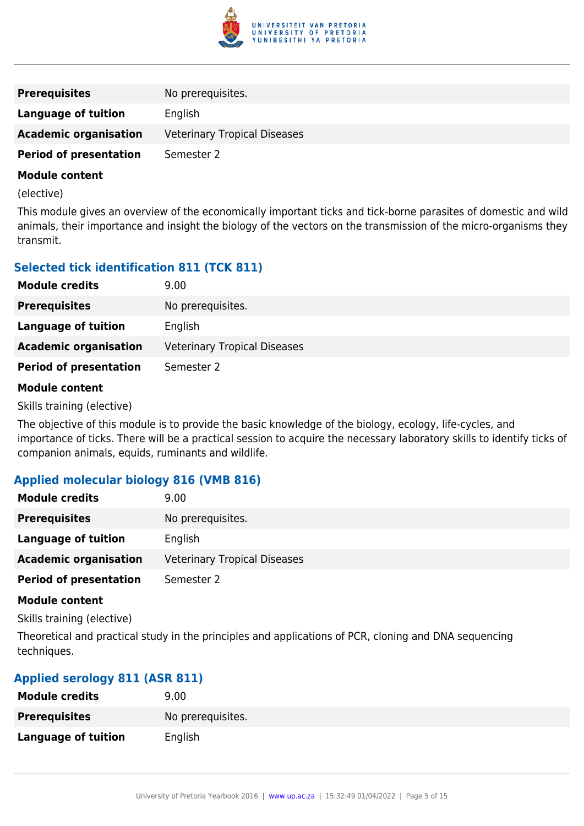

| <b>Prerequisites</b>          | No prerequisites.                   |
|-------------------------------|-------------------------------------|
| Language of tuition           | English                             |
| <b>Academic organisation</b>  | <b>Veterinary Tropical Diseases</b> |
| <b>Period of presentation</b> | Semester 2                          |
| .                             |                                     |

(elective)

This module gives an overview of the economically important ticks and tick-borne parasites of domestic and wild animals, their importance and insight the biology of the vectors on the transmission of the micro-organisms they transmit.

# **Selected tick identification 811 (TCK 811)**

| <b>Module credits</b>         | 9.00                                |
|-------------------------------|-------------------------------------|
| <b>Prerequisites</b>          | No prerequisites.                   |
| <b>Language of tuition</b>    | English                             |
| <b>Academic organisation</b>  | <b>Veterinary Tropical Diseases</b> |
| <b>Period of presentation</b> | Semester 2                          |
|                               |                                     |

### **Module content**

Skills training (elective)

The objective of this module is to provide the basic knowledge of the biology, ecology, life-cycles, and importance of ticks. There will be a practical session to acquire the necessary laboratory skills to identify ticks of companion animals, equids, ruminants and wildlife.

### **Applied molecular biology 816 (VMB 816)**

| <b>Module credits</b>         | 9.00                                |
|-------------------------------|-------------------------------------|
| <b>Prerequisites</b>          | No prerequisites.                   |
| Language of tuition           | English                             |
| <b>Academic organisation</b>  | <b>Veterinary Tropical Diseases</b> |
| <b>Period of presentation</b> | Semester 2                          |

#### **Module content**

Skills training (elective)

Theoretical and practical study in the principles and applications of PCR, cloning and DNA sequencing techniques.

### **Applied serology 811 (ASR 811)**

| <b>Module credits</b>      | 9.00              |
|----------------------------|-------------------|
| <b>Prerequisites</b>       | No prerequisites. |
| <b>Language of tuition</b> | English           |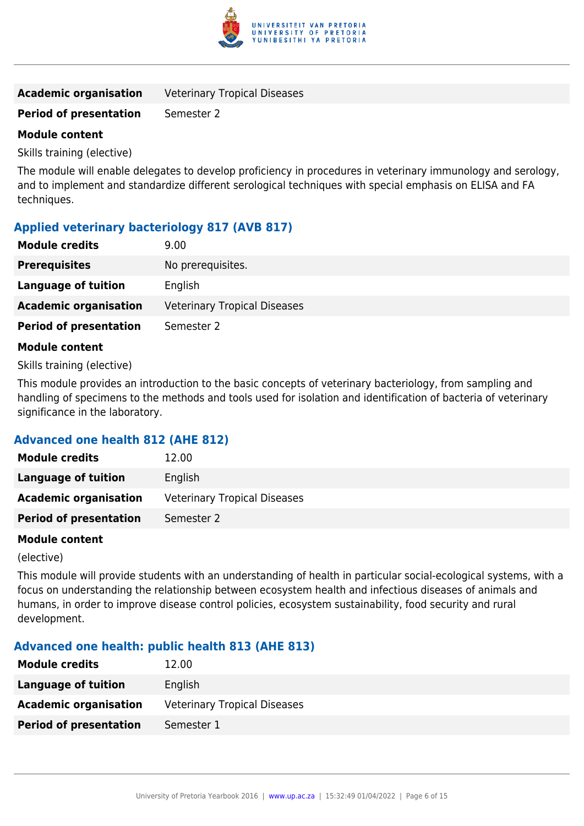

| <b>Academic organisation</b> | <b>Veterinary Tropical Diseases</b> |
|------------------------------|-------------------------------------|
|------------------------------|-------------------------------------|

### **Period of presentation** Semester 2

### **Module content**

Skills training (elective)

The module will enable delegates to develop proficiency in procedures in veterinary immunology and serology, and to implement and standardize different serological techniques with special emphasis on ELISA and FA techniques.

# **Applied veterinary bacteriology 817 (AVB 817)**

| <b>Module credits</b>         | 9.00                                |
|-------------------------------|-------------------------------------|
| <b>Prerequisites</b>          | No prerequisites.                   |
| Language of tuition           | English                             |
| <b>Academic organisation</b>  | <b>Veterinary Tropical Diseases</b> |
| <b>Period of presentation</b> | Semester 2                          |
| <b>Module content</b>         |                                     |

Skills training (elective)

This module provides an introduction to the basic concepts of veterinary bacteriology, from sampling and handling of specimens to the methods and tools used for isolation and identification of bacteria of veterinary significance in the laboratory.

### **Advanced one health 812 (AHE 812)**

| <b>Module credits</b>         | 12.00                               |
|-------------------------------|-------------------------------------|
| Language of tuition           | English                             |
| <b>Academic organisation</b>  | <b>Veterinary Tropical Diseases</b> |
| <b>Period of presentation</b> | Semester 2                          |

### **Module content**

(elective)

This module will provide students with an understanding of health in particular social-ecological systems, with a focus on understanding the relationship between ecosystem health and infectious diseases of animals and humans, in order to improve disease control policies, ecosystem sustainability, food security and rural development.

### **Advanced one health: public health 813 (AHE 813)**

| <b>Module credits</b>         | 12.00                               |
|-------------------------------|-------------------------------------|
| Language of tuition           | English                             |
| <b>Academic organisation</b>  | <b>Veterinary Tropical Diseases</b> |
| <b>Period of presentation</b> | Semester 1                          |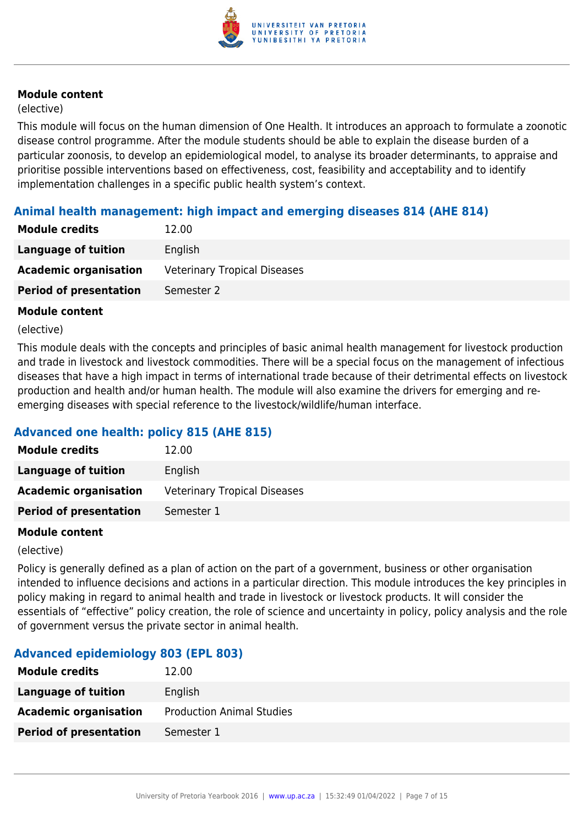

### (elective)

This module will focus on the human dimension of One Health. It introduces an approach to formulate a zoonotic disease control programme. After the module students should be able to explain the disease burden of a particular zoonosis, to develop an epidemiological model, to analyse its broader determinants, to appraise and prioritise possible interventions based on effectiveness, cost, feasibility and acceptability and to identify implementation challenges in a specific public health system's context.

### **Animal health management: high impact and emerging diseases 814 (AHE 814)**

| <b>Module credits</b>         | 12.00                               |
|-------------------------------|-------------------------------------|
| Language of tuition           | English                             |
| <b>Academic organisation</b>  | <b>Veterinary Tropical Diseases</b> |
| <b>Period of presentation</b> | Semester 2                          |

### **Module content**

#### (elective)

This module deals with the concepts and principles of basic animal health management for livestock production and trade in livestock and livestock commodities. There will be a special focus on the management of infectious diseases that have a high impact in terms of international trade because of their detrimental effects on livestock production and health and/or human health. The module will also examine the drivers for emerging and reemerging diseases with special reference to the livestock/wildlife/human interface.

# **Advanced one health: policy 815 (AHE 815)**

| <b>Module credits</b>         | 12.00                               |
|-------------------------------|-------------------------------------|
| <b>Language of tuition</b>    | English                             |
| <b>Academic organisation</b>  | <b>Veterinary Tropical Diseases</b> |
| <b>Period of presentation</b> | Semester 1                          |

### **Module content**

(elective)

Policy is generally defined as a plan of action on the part of a government, business or other organisation intended to influence decisions and actions in a particular direction. This module introduces the key principles in policy making in regard to animal health and trade in livestock or livestock products. It will consider the essentials of "effective" policy creation, the role of science and uncertainty in policy, policy analysis and the role of government versus the private sector in animal health.

### **Advanced epidemiology 803 (EPL 803)**

| <b>Module credits</b>         | 12.00                            |
|-------------------------------|----------------------------------|
| Language of tuition           | English                          |
| <b>Academic organisation</b>  | <b>Production Animal Studies</b> |
| <b>Period of presentation</b> | Semester 1                       |
|                               |                                  |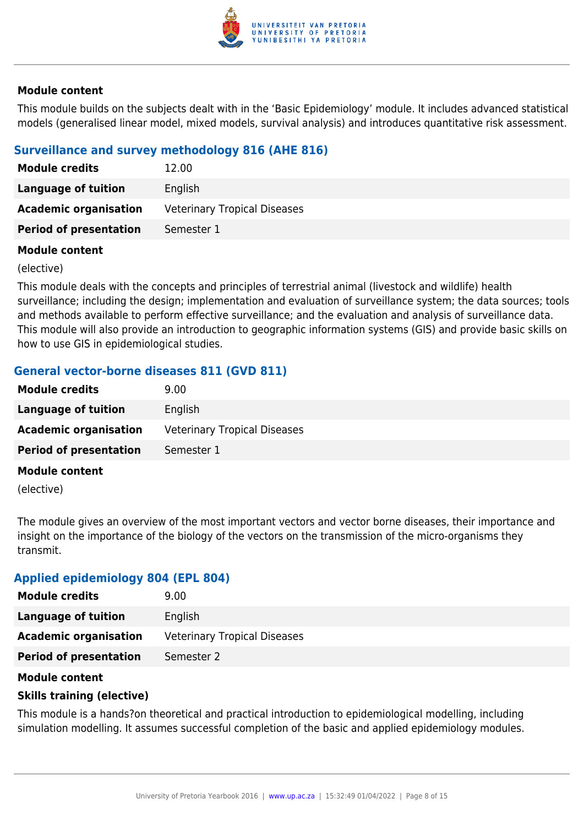

This module builds on the subjects dealt with in the 'Basic Epidemiology' module. It includes advanced statistical models (generalised linear model, mixed models, survival analysis) and introduces quantitative risk assessment.

# **Surveillance and survey methodology 816 (AHE 816)**

| <b>Module credits</b>         | 12.00                               |
|-------------------------------|-------------------------------------|
| Language of tuition           | English                             |
| <b>Academic organisation</b>  | <b>Veterinary Tropical Diseases</b> |
| <b>Period of presentation</b> | Semester 1                          |

### **Module content**

(elective)

This module deals with the concepts and principles of terrestrial animal (livestock and wildlife) health surveillance; including the design; implementation and evaluation of surveillance system; the data sources; tools and methods available to perform effective surveillance; and the evaluation and analysis of surveillance data. This module will also provide an introduction to geographic information systems (GIS) and provide basic skills on how to use GIS in epidemiological studies.

# **General vector-borne diseases 811 (GVD 811)**

| <b>Module credits</b>         | 9.00                                |
|-------------------------------|-------------------------------------|
| Language of tuition           | English                             |
| <b>Academic organisation</b>  | <b>Veterinary Tropical Diseases</b> |
| <b>Period of presentation</b> | Semester 1                          |
| <b>Module content</b>         |                                     |

(elective)

The module gives an overview of the most important vectors and vector borne diseases, their importance and insight on the importance of the biology of the vectors on the transmission of the micro-organisms they transmit.

### **Applied epidemiology 804 (EPL 804)**

| <b>Module credits</b>         | 9.00                                |
|-------------------------------|-------------------------------------|
| Language of tuition           | English                             |
| <b>Academic organisation</b>  | <b>Veterinary Tropical Diseases</b> |
| <b>Period of presentation</b> | Semester 2                          |

### **Module content**

### **Skills training (elective)**

This module is a hands?on theoretical and practical introduction to epidemiological modelling, including simulation modelling. It assumes successful completion of the basic and applied epidemiology modules.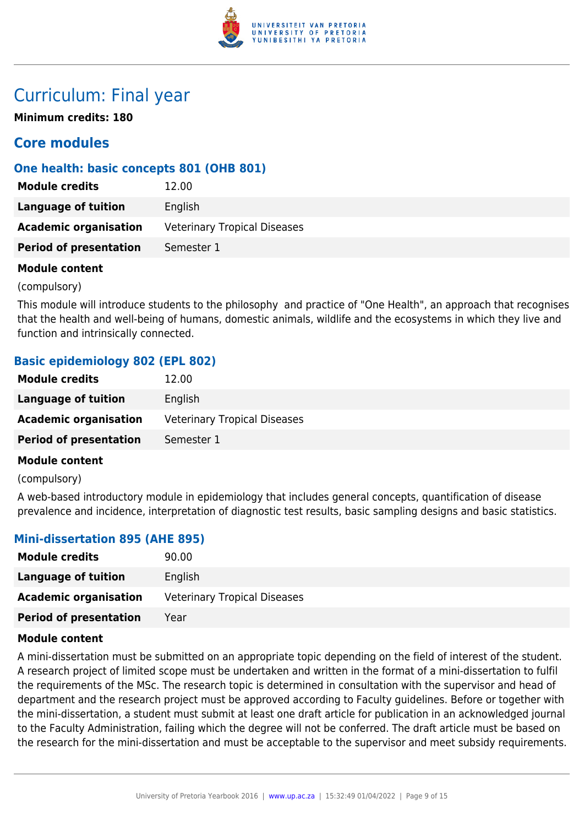

# Curriculum: Final year

**Minimum credits: 180**

# **Core modules**

# **One health: basic concepts 801 (OHB 801)**

| <b>Module credits</b>         | 12.00                               |
|-------------------------------|-------------------------------------|
| Language of tuition           | English                             |
| <b>Academic organisation</b>  | <b>Veterinary Tropical Diseases</b> |
| <b>Period of presentation</b> | Semester 1                          |

### **Module content**

(compulsory)

This module will introduce students to the philosophy and practice of "One Health", an approach that recognises that the health and well-being of humans, domestic animals, wildlife and the ecosystems in which they live and function and intrinsically connected.

# **Basic epidemiology 802 (EPL 802)**

| <b>Module credits</b>         | 12.00                               |
|-------------------------------|-------------------------------------|
| Language of tuition           | English                             |
| <b>Academic organisation</b>  | <b>Veterinary Tropical Diseases</b> |
| <b>Period of presentation</b> | Semester 1                          |
|                               |                                     |

### **Module content**

(compulsory)

A web-based introductory module in epidemiology that includes general concepts, quantification of disease prevalence and incidence, interpretation of diagnostic test results, basic sampling designs and basic statistics.

### **Mini-dissertation 895 (AHE 895)**

| <b>Module credits</b>         | 90.00                               |
|-------------------------------|-------------------------------------|
| Language of tuition           | English                             |
| <b>Academic organisation</b>  | <b>Veterinary Tropical Diseases</b> |
| <b>Period of presentation</b> | Year                                |

### **Module content**

A mini-dissertation must be submitted on an appropriate topic depending on the field of interest of the student. A research project of limited scope must be undertaken and written in the format of a mini-dissertation to fulfil the requirements of the MSc. The research topic is determined in consultation with the supervisor and head of department and the research project must be approved according to Faculty guidelines. Before or together with the mini-dissertation, a student must submit at least one draft article for publication in an acknowledged journal to the Faculty Administration, failing which the degree will not be conferred. The draft article must be based on the research for the mini-dissertation and must be acceptable to the supervisor and meet subsidy requirements.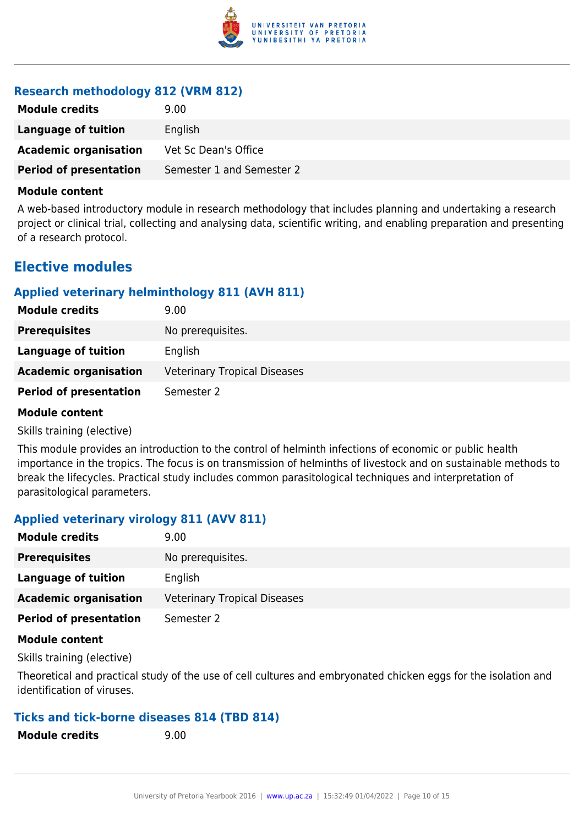

### **Research methodology 812 (VRM 812)**

| <b>Module credits</b>         | 9.00                      |
|-------------------------------|---------------------------|
| Language of tuition           | English                   |
| <b>Academic organisation</b>  | Vet Sc Dean's Office      |
| <b>Period of presentation</b> | Semester 1 and Semester 2 |

#### **Module content**

A web-based introductory module in research methodology that includes planning and undertaking a research project or clinical trial, collecting and analysing data, scientific writing, and enabling preparation and presenting of a research protocol.

# **Elective modules**

### **Applied veterinary helminthology 811 (AVH 811)**

| <b>Module credits</b>         | 9.00                                |
|-------------------------------|-------------------------------------|
| <b>Prerequisites</b>          | No prerequisites.                   |
| Language of tuition           | English                             |
| <b>Academic organisation</b>  | <b>Veterinary Tropical Diseases</b> |
| <b>Period of presentation</b> | Semester 2                          |

#### **Module content**

Skills training (elective)

This module provides an introduction to the control of helminth infections of economic or public health importance in the tropics. The focus is on transmission of helminths of livestock and on sustainable methods to break the lifecycles. Practical study includes common parasitological techniques and interpretation of parasitological parameters.

### **Applied veterinary virology 811 (AVV 811)**

| <b>Module credits</b>         | 9.00                                |
|-------------------------------|-------------------------------------|
| <b>Prerequisites</b>          | No prerequisites.                   |
| Language of tuition           | English                             |
| <b>Academic organisation</b>  | <b>Veterinary Tropical Diseases</b> |
| <b>Period of presentation</b> | Semester 2                          |
|                               |                                     |

### **Module content**

Skills training (elective)

Theoretical and practical study of the use of cell cultures and embryonated chicken eggs for the isolation and identification of viruses.

### **Ticks and tick-borne diseases 814 (TBD 814)**

**Module credits** 9.00

| <b>Module credits</b> |  |  |
|-----------------------|--|--|
|-----------------------|--|--|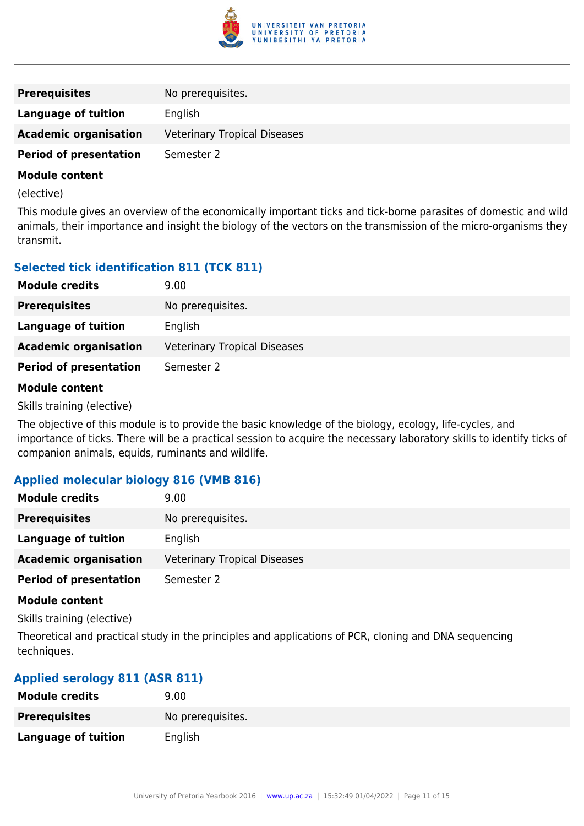

| <b>Prerequisites</b>                                                                                                                                                                                                                 | No prerequisites.                   |
|--------------------------------------------------------------------------------------------------------------------------------------------------------------------------------------------------------------------------------------|-------------------------------------|
| Language of tuition                                                                                                                                                                                                                  | English                             |
| <b>Academic organisation</b>                                                                                                                                                                                                         | <b>Veterinary Tropical Diseases</b> |
| <b>Period of presentation</b>                                                                                                                                                                                                        | Semester 2                          |
| <b>Address that the contract of the contract of the contract of the contract of the contract of the contract of the contract of the contract of the contract of the contract of the contract of the contract of the contract of </b> |                                     |

(elective)

This module gives an overview of the economically important ticks and tick-borne parasites of domestic and wild animals, their importance and insight the biology of the vectors on the transmission of the micro-organisms they transmit.

# **Selected tick identification 811 (TCK 811)**

| <b>Module credits</b>         | 9.00                                |
|-------------------------------|-------------------------------------|
| <b>Prerequisites</b>          | No prerequisites.                   |
| <b>Language of tuition</b>    | English                             |
| <b>Academic organisation</b>  | <b>Veterinary Tropical Diseases</b> |
| <b>Period of presentation</b> | Semester 2                          |
|                               |                                     |

### **Module content**

Skills training (elective)

The objective of this module is to provide the basic knowledge of the biology, ecology, life-cycles, and importance of ticks. There will be a practical session to acquire the necessary laboratory skills to identify ticks of companion animals, equids, ruminants and wildlife.

### **Applied molecular biology 816 (VMB 816)**

| <b>Module credits</b>         | 9.00                                |
|-------------------------------|-------------------------------------|
| <b>Prerequisites</b>          | No prerequisites.                   |
| Language of tuition           | English                             |
| <b>Academic organisation</b>  | <b>Veterinary Tropical Diseases</b> |
| <b>Period of presentation</b> | Semester 2                          |

#### **Module content**

Skills training (elective)

Theoretical and practical study in the principles and applications of PCR, cloning and DNA sequencing techniques.

### **Applied serology 811 (ASR 811)**

| <b>Module credits</b>      | 9.00              |
|----------------------------|-------------------|
| <b>Prerequisites</b>       | No prerequisites. |
| <b>Language of tuition</b> | English           |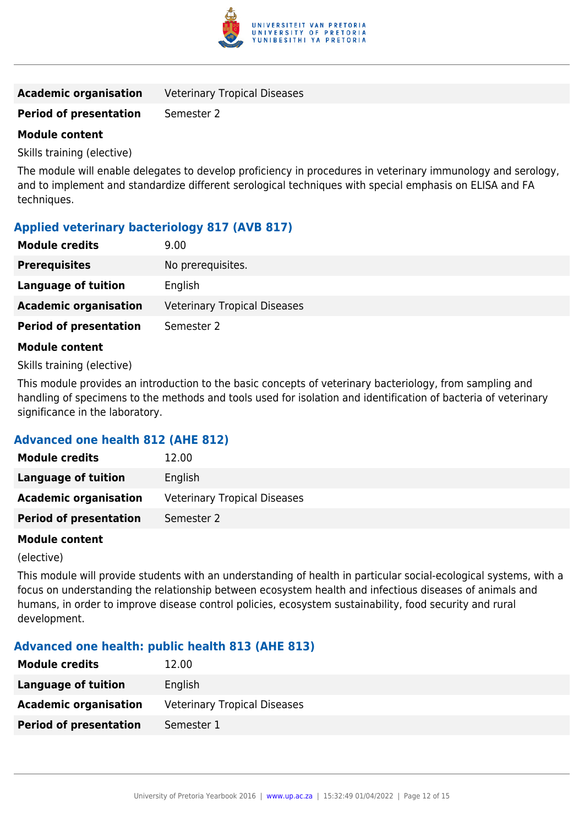

| <b>Academic organisation</b> | <b>Veterinary Tropical Diseases</b> |
|------------------------------|-------------------------------------|
|------------------------------|-------------------------------------|

### **Period of presentation** Semester 2

### **Module content**

Skills training (elective)

The module will enable delegates to develop proficiency in procedures in veterinary immunology and serology, and to implement and standardize different serological techniques with special emphasis on ELISA and FA techniques.

# **Applied veterinary bacteriology 817 (AVB 817)**

| <b>Module credits</b>         | 9.00                                |
|-------------------------------|-------------------------------------|
| <b>Prerequisites</b>          | No prerequisites.                   |
| Language of tuition           | English                             |
| <b>Academic organisation</b>  | <b>Veterinary Tropical Diseases</b> |
| <b>Period of presentation</b> | Semester 2                          |
| <b>Module content</b>         |                                     |

Skills training (elective)

This module provides an introduction to the basic concepts of veterinary bacteriology, from sampling and handling of specimens to the methods and tools used for isolation and identification of bacteria of veterinary significance in the laboratory.

### **Advanced one health 812 (AHE 812)**

| <b>Module credits</b>         | 12.00                               |
|-------------------------------|-------------------------------------|
| <b>Language of tuition</b>    | English                             |
| <b>Academic organisation</b>  | <b>Veterinary Tropical Diseases</b> |
| <b>Period of presentation</b> | Semester 2                          |

### **Module content**

(elective)

This module will provide students with an understanding of health in particular social-ecological systems, with a focus on understanding the relationship between ecosystem health and infectious diseases of animals and humans, in order to improve disease control policies, ecosystem sustainability, food security and rural development.

### **Advanced one health: public health 813 (AHE 813)**

| <b>Module credits</b>         | 12.00                               |
|-------------------------------|-------------------------------------|
| Language of tuition           | English                             |
| <b>Academic organisation</b>  | <b>Veterinary Tropical Diseases</b> |
| <b>Period of presentation</b> | Semester 1                          |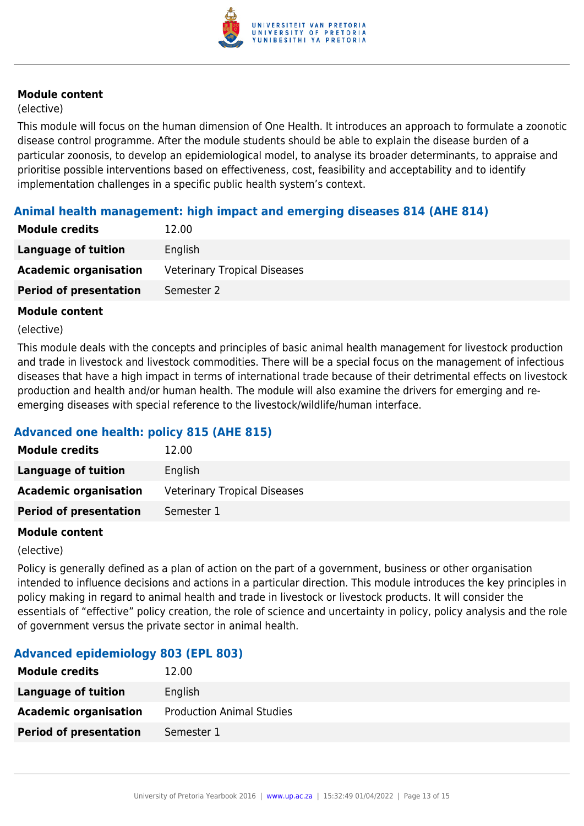

### (elective)

This module will focus on the human dimension of One Health. It introduces an approach to formulate a zoonotic disease control programme. After the module students should be able to explain the disease burden of a particular zoonosis, to develop an epidemiological model, to analyse its broader determinants, to appraise and prioritise possible interventions based on effectiveness, cost, feasibility and acceptability and to identify implementation challenges in a specific public health system's context.

### **Animal health management: high impact and emerging diseases 814 (AHE 814)**

| <b>Module credits</b>         | 12.00                               |
|-------------------------------|-------------------------------------|
| Language of tuition           | English                             |
| <b>Academic organisation</b>  | <b>Veterinary Tropical Diseases</b> |
| <b>Period of presentation</b> | Semester 2                          |

### **Module content**

#### (elective)

This module deals with the concepts and principles of basic animal health management for livestock production and trade in livestock and livestock commodities. There will be a special focus on the management of infectious diseases that have a high impact in terms of international trade because of their detrimental effects on livestock production and health and/or human health. The module will also examine the drivers for emerging and reemerging diseases with special reference to the livestock/wildlife/human interface.

# **Advanced one health: policy 815 (AHE 815)**

| <b>Module credits</b>         | 12.00                               |
|-------------------------------|-------------------------------------|
| <b>Language of tuition</b>    | English                             |
| <b>Academic organisation</b>  | <b>Veterinary Tropical Diseases</b> |
| <b>Period of presentation</b> | Semester 1                          |

### **Module content**

(elective)

Policy is generally defined as a plan of action on the part of a government, business or other organisation intended to influence decisions and actions in a particular direction. This module introduces the key principles in policy making in regard to animal health and trade in livestock or livestock products. It will consider the essentials of "effective" policy creation, the role of science and uncertainty in policy, policy analysis and the role of government versus the private sector in animal health.

### **Advanced epidemiology 803 (EPL 803)**

| <b>Module credits</b>         | 12.00                            |
|-------------------------------|----------------------------------|
| <b>Language of tuition</b>    | English                          |
| <b>Academic organisation</b>  | <b>Production Animal Studies</b> |
| <b>Period of presentation</b> | Semester 1                       |
|                               |                                  |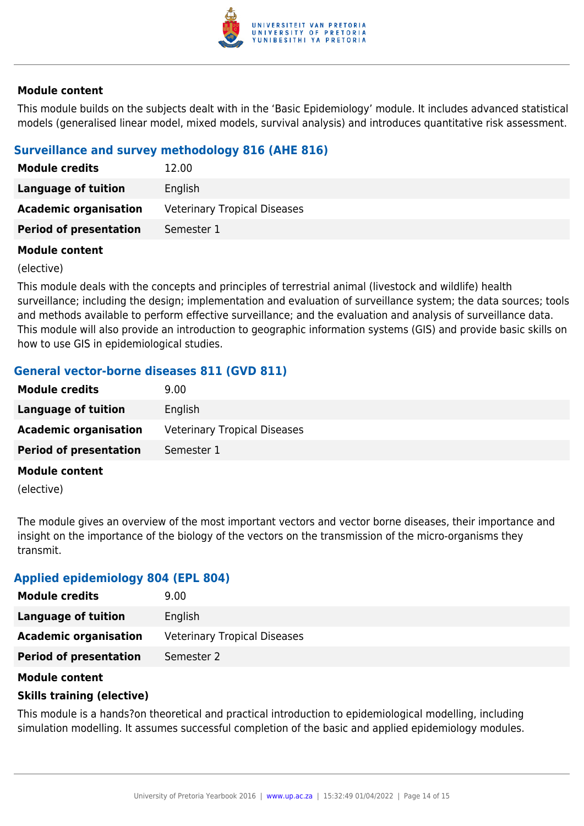

This module builds on the subjects dealt with in the 'Basic Epidemiology' module. It includes advanced statistical models (generalised linear model, mixed models, survival analysis) and introduces quantitative risk assessment.

# **Surveillance and survey methodology 816 (AHE 816)**

| <b>Module credits</b>         | 12.00                               |
|-------------------------------|-------------------------------------|
| Language of tuition           | English                             |
| <b>Academic organisation</b>  | <b>Veterinary Tropical Diseases</b> |
| <b>Period of presentation</b> | Semester 1                          |

### **Module content**

(elective)

This module deals with the concepts and principles of terrestrial animal (livestock and wildlife) health surveillance; including the design; implementation and evaluation of surveillance system; the data sources; tools and methods available to perform effective surveillance; and the evaluation and analysis of surveillance data. This module will also provide an introduction to geographic information systems (GIS) and provide basic skills on how to use GIS in epidemiological studies.

# **General vector-borne diseases 811 (GVD 811)**

| <b>Module credits</b>         | 9.00                                |
|-------------------------------|-------------------------------------|
| Language of tuition           | English                             |
| <b>Academic organisation</b>  | <b>Veterinary Tropical Diseases</b> |
| <b>Period of presentation</b> | Semester 1                          |
| <b>Module content</b>         |                                     |

(elective)

The module gives an overview of the most important vectors and vector borne diseases, their importance and insight on the importance of the biology of the vectors on the transmission of the micro-organisms they transmit.

### **Applied epidemiology 804 (EPL 804)**

| <b>Module credits</b>         | 9.00                                |
|-------------------------------|-------------------------------------|
| Language of tuition           | English                             |
| <b>Academic organisation</b>  | <b>Veterinary Tropical Diseases</b> |
| <b>Period of presentation</b> | Semester 2                          |

### **Module content**

### **Skills training (elective)**

This module is a hands?on theoretical and practical introduction to epidemiological modelling, including simulation modelling. It assumes successful completion of the basic and applied epidemiology modules.